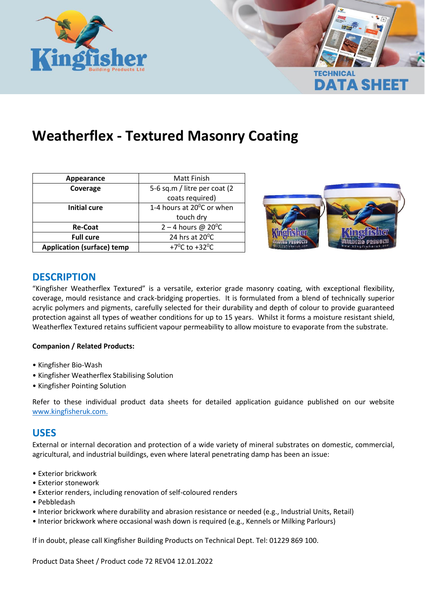

# **Weatherflex - Textured Masonry Coating**

| Appearance                        | Matt Finish                             |
|-----------------------------------|-----------------------------------------|
| Coverage                          | 5-6 sq.m / litre per coat (2)           |
|                                   | coats required)                         |
| <b>Initial cure</b>               | 1-4 hours at $20^{\circ}$ C or when     |
|                                   | touch dry                               |
| <b>Re-Coat</b>                    | 2 – 4 hours @ $20^{\circ}$ C            |
| <b>Full cure</b>                  | 24 hrs at 20°C                          |
| <b>Application (surface) temp</b> | +7 <sup>o</sup> C to +32 <sup>o</sup> C |



**DATA SHEET** 

## **DESCRIPTION**

"Kingfisher Weatherflex Textured" is a versatile, exterior grade masonry coating, with exceptional flexibility, coverage, mould resistance and crack-bridging properties. It is formulated from a blend of technically superior acrylic polymers and pigments, carefully selected for their durability and depth of colour to provide guaranteed protection against all types of weather conditions for up to 15 years. Whilst it forms a moisture resistant shield, Weatherflex Textured retains sufficient vapour permeability to allow moisture to evaporate from the substrate.

#### **Companion / Related Products:**

- Kingfisher Bio-Wash
- Kingfisher Weatherflex Stabilising Solution
- Kingfisher Pointing Solution

Refer to these individual product data sheets for detailed application guidance published on our website [www.kingfisheruk.com.](http://www.kingfisheruk.com/)

#### **USES**

External or internal decoration and protection of a wide variety of mineral substrates on domestic, commercial, agricultural, and industrial buildings, even where lateral penetrating damp has been an issue:

- Exterior brickwork
- Exterior stonework
- Exterior renders, including renovation of self-coloured renders
- Pebbledash
- Interior brickwork where durability and abrasion resistance or needed (e.g., Industrial Units, Retail)
- Interior brickwork where occasional wash down is required (e.g., Kennels or Milking Parlours)

If in doubt, please call Kingfisher Building Products on Technical Dept. Tel: 01229 869 100.

Product Data Sheet / Product code 72 REV04 12.01.2022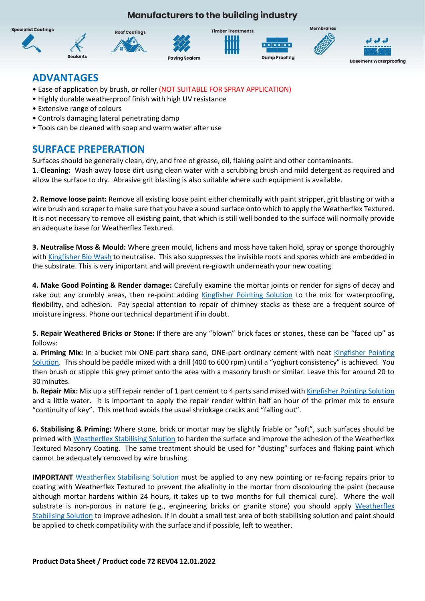**Manufacturers to the building industry** 



## **ADVANTAGES**

- Ease of application by brush, or roller (NOT SUITABLE FOR SPRAY APPLICATION)
- Highly durable weatherproof finish with high UV resistance
- Extensive range of colours
- Controls damaging lateral penetrating damp
- Tools can be cleaned with soap and warm water after use

## **SURFACE PREPERATION**

Surfaces should be generally clean, dry, and free of grease, oil, flaking paint and other contaminants.

1. **Cleaning:** Wash away loose dirt using clean water with a scrubbing brush and mild detergent as required and allow the surface to dry. Abrasive grit blasting is also suitable where such equipment is available.

**2. Remove loose paint:** Remove all existing loose paint either chemically with paint stripper, grit blasting or with a wire brush and scraper to make sure that you have a sound surface onto which to apply the Weatherflex Textured. It is not necessary to remove all existing paint, that which is still well bonded to the surface will normally provide an adequate base for Weatherflex Textured.

**3. Neutralise Moss & Mould:** Where green mould, lichens and moss have taken hold, spray or sponge thoroughly wit[h Kingfisher Bio Wash](https://www.kingfisheruk.com/bio-wash-moss-remover-item-72#72) to neutralise. This also suppresses the invisible roots and spores which are embedded in the substrate. This is very important and will prevent re-growth underneath your new coating.

**4. Make Good Pointing & Render damage:** Carefully examine the mortar joints or render for signs of decay and rake out any crumbly areas, then re-point adding [Kingfisher Pointing Solution](https://www.kingfisheruk.com/pointing-solution-waterproofing-admixture-item-535#535) to the mix for waterproofing, flexibility, and adhesion. Pay special attention to repair of chimney stacks as these are a frequent source of moisture ingress. Phone our technical department if in doubt.

**5. Repair Weathered Bricks or Stone:** If there are any "blown" brick faces or stones, these can be "faced up" as follows:

**a**. **Priming Mix:** In a bucket mix ONE-part sharp sand, ONE-part ordinary cement with neat [Kingfisher Pointing](https://www.kingfisheruk.com/pointing-solution-waterproofing-admixture-item-535#535)  [Solution.](https://www.kingfisheruk.com/pointing-solution-waterproofing-admixture-item-535#535) This should be paddle mixed with a drill (400 to 600 rpm) until a "yoghurt consistency" is achieved. You then brush or stipple this grey primer onto the area with a masonry brush or similar. Leave this for around 20 to 30 minutes.

**b. Repair Mix:** Mix up a stiff repair render of 1 part cement to 4 parts sand mixed wit[h Kingfisher Pointing Solution](https://www.kingfisheruk.com/pointing-solution-waterproofing-admixture-item-535#535) and a little water. It is important to apply the repair render within half an hour of the primer mix to ensure "continuity of key". This method avoids the usual shrinkage cracks and "falling out".

**6. Stabilising & Priming:** Where stone, brick or mortar may be slightly friable or "soft", such surfaces should be primed wit[h Weatherflex Stabilising Solution](https://www.kingfisheruk.com/weatherflex-stabilising-solution-item-72wss#72wss) to harden the surface and improve the adhesion of the Weatherflex Textured Masonry Coating. The same treatment should be used for "dusting" surfaces and flaking paint which cannot be adequately removed by wire brushing.

**IMPORTANT** [Weatherflex Stabilising Solution](https://www.kingfisheruk.com/weatherflex-stabilising-solution-item-72wss#72wss) must be applied to any new pointing or re-facing repairs prior to coating with Weatherflex Textured to prevent the alkalinity in the mortar from discolouring the paint (because although mortar hardens within 24 hours, it takes up to two months for full chemical cure). Where the wall substrate is non-porous in nature (e.g., engineering bricks or granite stone) you should apply [Weatherflex](https://www.kingfisheruk.com/weatherflex-stabilising-solution-item-72wss#72wss)  [Stabilising Solution](https://www.kingfisheruk.com/weatherflex-stabilising-solution-item-72wss#72wss) to improve adhesion. If in doubt a small test area of both stabilising solution and paint should be applied to check compatibility with the surface and if possible, left to weather.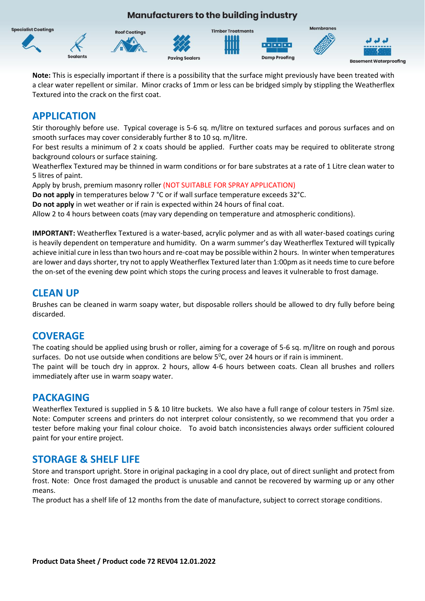

**Note:** This is especially important if there is a possibility that the surface might previously have been treated with a clear water repellent or similar. Minor cracks of 1mm or less can be bridged simply by stippling the Weatherflex Textured into the crack on the first coat.

## **APPLICATION**

Stir thoroughly before use. Typical coverage is 5-6 sq. m/litre on textured surfaces and porous surfaces and on smooth surfaces may cover considerably further 8 to 10 sq. m/litre.

For best results a minimum of 2 x coats should be applied. Further coats may be required to obliterate strong background colours or surface staining.

Weatherflex Textured may be thinned in warm conditions or for bare substrates at a rate of 1 Litre clean water to 5 litres of paint.

Apply by brush, premium masonry roller (NOT SUITABLE FOR SPRAY APPLICATION)

**Do not apply** in temperatures below 7 °C or if wall surface temperature exceeds 32°C.

**Do not apply** in wet weather or if rain is expected within 24 hours of final coat.

Allow 2 to 4 hours between coats (may vary depending on temperature and atmospheric conditions).

**IMPORTANT:** Weatherflex Textured is a water-based, acrylic polymer and as with all water-based coatings curing is heavily dependent on temperature and humidity. On a warm summer's day Weatherflex Textured will typically achieve initial cure in less than two hours and re-coat may be possible within 2 hours. In winter when temperatures are lower and days shorter, try not to apply Weatherflex Textured later than 1:00pm as it needs time to cure before the on-set of the evening dew point which stops the curing process and leaves it vulnerable to frost damage.

#### **CLEAN UP**

Brushes can be cleaned in warm soapy water, but disposable rollers should be allowed to dry fully before being discarded.

### **COVERAGE**

The coating should be applied using brush or roller, aiming for a coverage of 5-6 sq. m/litre on rough and porous surfaces. Do not use outside when conditions are below  $5^{\circ}$ C, over 24 hours or if rain is imminent. The paint will be touch dry in approx. 2 hours, allow 4-6 hours between coats. Clean all brushes and rollers immediately after use in warm soapy water.

### **PACKAGING**

Weatherflex Textured is supplied in 5 & 10 litre buckets. We also have a full range of colour testers in 75ml size. Note: Computer screens and printers do not interpret colour consistently, so we recommend that you order a tester before making your final colour choice. To avoid batch inconsistencies always order sufficient coloured paint for your entire project.

### **STORAGE & SHELF LIFE**

Store and transport upright. Store in original packaging in a cool dry place, out of direct sunlight and protect from frost. Note: Once frost damaged the product is unusable and cannot be recovered by warming up or any other means.

The product has a shelf life of 12 months from the date of manufacture, subject to correct storage conditions.